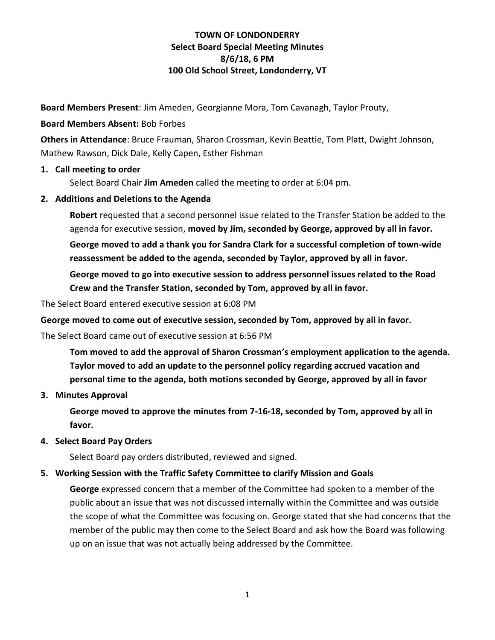**Board Members Present**: Jim Ameden, Georgianne Mora, Tom Cavanagh, Taylor Prouty,

### **Board Members Absent:** Bob Forbes

**Others in Attendance**: Bruce Frauman, Sharon Crossman, Kevin Beattie, Tom Platt, Dwight Johnson, Mathew Rawson, Dick Dale, Kelly Capen, Esther Fishman

### **1. Call meeting to order**

Select Board Chair **Jim Ameden** called the meeting to order at 6:04 pm.

### **2. Additions and Deletions to the Agenda**

**Robert** requested that a second personnel issue related to the Transfer Station be added to the agenda for executive session, **moved by Jim, seconded by George, approved by all in favor.**

**George moved to add a thank you for Sandra Clark for a successful completion of town-wide reassessment be added to the agenda, seconded by Taylor, approved by all in favor.**

**George moved to go into executive session to address personnel issues related to the Road Crew and the Transfer Station, seconded by Tom, approved by all in favor.**

The Select Board entered executive session at 6:08 PM

**George moved to come out of executive session, seconded by Tom, approved by all in favor.**

The Select Board came out of executive session at 6:56 PM

**Tom moved to add the approval of Sharon Crossman's employment application to the agenda. Taylor moved to add an update to the personnel policy regarding accrued vacation and personal time to the agenda, both motions seconded by George, approved by all in favor**

#### **3. Minutes Approval**

**George moved to approve the minutes from 7-16-18, seconded by Tom, approved by all in favor.**

#### **4. Select Board Pay Orders**

Select Board pay orders distributed, reviewed and signed.

### **5. Working Session with the Traffic Safety Committee to clarify Mission and Goals**

**George** expressed concern that a member of the Committee had spoken to a member of the public about an issue that was not discussed internally within the Committee and was outside the scope of what the Committee was focusing on. George stated that she had concerns that the member of the public may then come to the Select Board and ask how the Board was following up on an issue that was not actually being addressed by the Committee.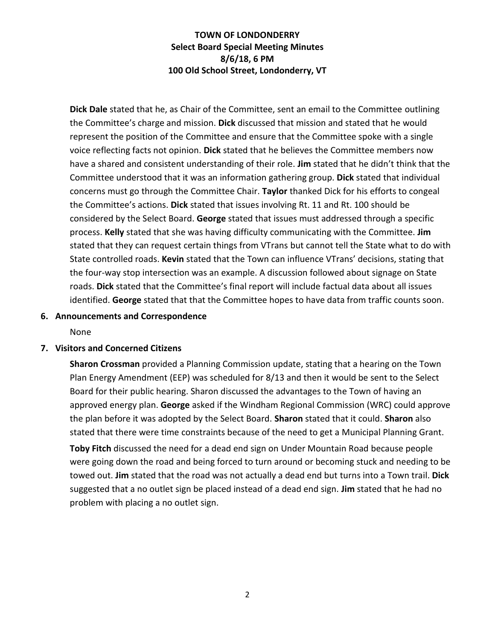**Dick Dale** stated that he, as Chair of the Committee, sent an email to the Committee outlining the Committee's charge and mission. **Dick** discussed that mission and stated that he would represent the position of the Committee and ensure that the Committee spoke with a single voice reflecting facts not opinion. **Dick** stated that he believes the Committee members now have a shared and consistent understanding of their role. **Jim** stated that he didn't think that the Committee understood that it was an information gathering group. **Dick** stated that individual concerns must go through the Committee Chair. **Taylor** thanked Dick for his efforts to congeal the Committee's actions. **Dick** stated that issues involving Rt. 11 and Rt. 100 should be considered by the Select Board. **George** stated that issues must addressed through a specific process. **Kelly** stated that she was having difficulty communicating with the Committee. **Jim** stated that they can request certain things from VTrans but cannot tell the State what to do with State controlled roads. **Kevin** stated that the Town can influence VTrans' decisions, stating that the four-way stop intersection was an example. A discussion followed about signage on State roads. **Dick** stated that the Committee's final report will include factual data about all issues identified. **George** stated that that the Committee hopes to have data from traffic counts soon.

#### **6. Announcements and Correspondence**

None

#### **7. Visitors and Concerned Citizens**

**Sharon Crossman** provided a Planning Commission update, stating that a hearing on the Town Plan Energy Amendment (EEP) was scheduled for 8/13 and then it would be sent to the Select Board for their public hearing. Sharon discussed the advantages to the Town of having an approved energy plan. **George** asked if the Windham Regional Commission (WRC) could approve the plan before it was adopted by the Select Board. **Sharon** stated that it could. **Sharon** also stated that there were time constraints because of the need to get a Municipal Planning Grant.

**Toby Fitch** discussed the need for a dead end sign on Under Mountain Road because people were going down the road and being forced to turn around or becoming stuck and needing to be towed out. **Jim** stated that the road was not actually a dead end but turns into a Town trail. **Dick** suggested that a no outlet sign be placed instead of a dead end sign. **Jim** stated that he had no problem with placing a no outlet sign.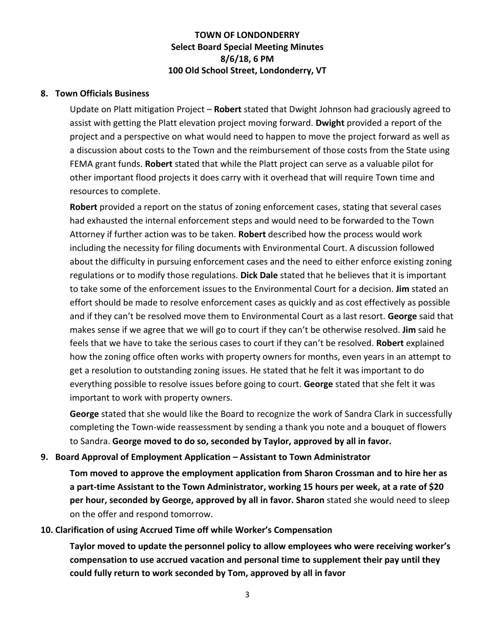#### **8. Town Officials Business**

Update on Platt mitigation Project – **Robert** stated that Dwight Johnson had graciously agreed to assist with getting the Platt elevation project moving forward. **Dwight** provided a report of the project and a perspective on what would need to happen to move the project forward as well as a discussion about costs to the Town and the reimbursement of those costs from the State using FEMA grant funds. **Robert** stated that while the Platt project can serve as a valuable pilot for other important flood projects it does carry with it overhead that will require Town time and resources to complete.

**Robert** provided a report on the status of zoning enforcement cases, stating that several cases had exhausted the internal enforcement steps and would need to be forwarded to the Town Attorney if further action was to be taken. **Robert** described how the process would work including the necessity for filing documents with Environmental Court. A discussion followed about the difficulty in pursuing enforcement cases and the need to either enforce existing zoning regulations or to modify those regulations. **Dick Dale** stated that he believes that it is important to take some of the enforcement issues to the Environmental Court for a decision. **Jim** stated an effort should be made to resolve enforcement cases as quickly and as cost effectively as possible and if they can't be resolved move them to Environmental Court as a last resort. **George** said that makes sense if we agree that we will go to court if they can't be otherwise resolved. **Jim** said he feels that we have to take the serious cases to court if they can't be resolved. **Robert** explained how the zoning office often works with property owners for months, even years in an attempt to get a resolution to outstanding zoning issues. He stated that he felt it was important to do everything possible to resolve issues before going to court. **George** stated that she felt it was important to work with property owners.

**George** stated that she would like the Board to recognize the work of Sandra Clark in successfully completing the Town-wide reassessment by sending a thank you note and a bouquet of flowers to Sandra. **George moved to do so, seconded by Taylor, approved by all in favor.**

#### **9. Board Approval of Employment Application – Assistant to Town Administrator**

**Tom moved to approve the employment application from Sharon Crossman and to hire her as a part-time Assistant to the Town Administrator, working 15 hours per week, at a rate of \$20 per hour, seconded by George, approved by all in favor. Sharon** stated she would need to sleep on the offer and respond tomorrow.

#### **10. Clarification of using Accrued Time off while Worker's Compensation**

**Taylor moved to update the personnel policy to allow employees who were receiving worker's compensation to use accrued vacation and personal time to supplement their pay until they could fully return to work seconded by Tom, approved by all in favor**